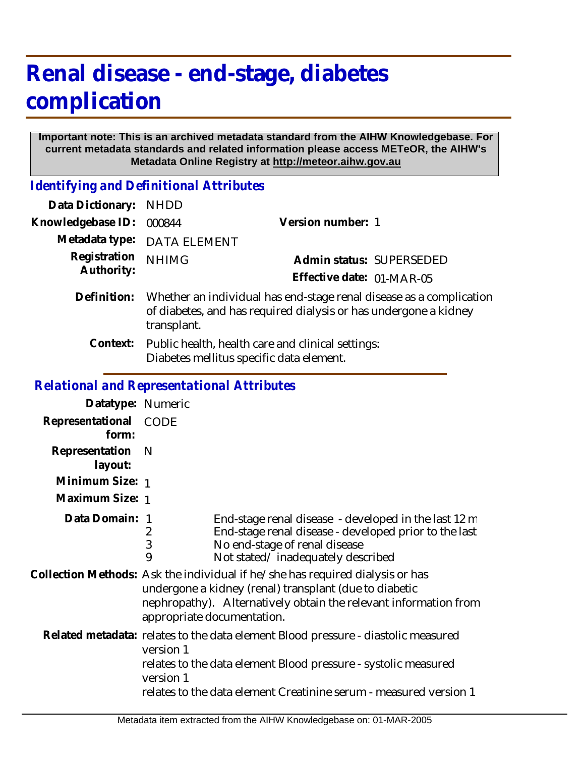# **Renal disease - end-stage, diabetes complication**

#### **Important note: This is an archived metadata standard from the AIHW Knowledgebase. For current metadata standards and related information please access METeOR, the AIHW's Metadata Online Registry at http://meteor.aihw.gov.au**

*Identifying and Definitional Attributes*

| Data Dictionary:  | <b>NHDD</b>                                                                                                                                            |                           |  |
|-------------------|--------------------------------------------------------------------------------------------------------------------------------------------------------|---------------------------|--|
| Knowledgebase ID: | 000844                                                                                                                                                 | Version number: 1         |  |
| Metadata type:    | <b>DATA ELEMENT</b>                                                                                                                                    |                           |  |
| Registration      | <b>NHIMG</b>                                                                                                                                           | Admin status: SUPERSEDED  |  |
| Authority:        |                                                                                                                                                        | Effective date: 01-MAR-05 |  |
| Definition:       | Whether an individual has end-stage renal disease as a complication<br>of diabetes, and has required dialysis or has undergone a kidney<br>transplant. |                           |  |
| Context:          | Public health, health care and clinical settings:<br>Diabetes mellitus specific data element.                                                          |                           |  |

#### *Relational and Representational Attributes*

| Datatype: Numeric         |                                                                                                                                                                                                                                                    |                                                                                                                                                                                     |
|---------------------------|----------------------------------------------------------------------------------------------------------------------------------------------------------------------------------------------------------------------------------------------------|-------------------------------------------------------------------------------------------------------------------------------------------------------------------------------------|
| Representational<br>form: | <b>CODE</b>                                                                                                                                                                                                                                        |                                                                                                                                                                                     |
| Representation<br>layout: | N                                                                                                                                                                                                                                                  |                                                                                                                                                                                     |
| Minimum Size: 1           |                                                                                                                                                                                                                                                    |                                                                                                                                                                                     |
| Maximum Size: 1           |                                                                                                                                                                                                                                                    |                                                                                                                                                                                     |
| Data Domain:              | 1<br>2<br>3<br>9                                                                                                                                                                                                                                   | End-stage renal disease - developed in the last 12 m<br>End-stage renal disease - developed prior to the last<br>No end-stage of renal disease<br>Not stated/inadequately described |
|                           | Collection Methods: Ask the individual if he/she has required dialysis or has<br>undergone a kidney (renal) transplant (due to diabetic<br>nephropathy). Alternatively obtain the relevant information from<br>appropriate documentation.          |                                                                                                                                                                                     |
|                           | Related metadata: relates to the data element Blood pressure - diastolic measured<br>version 1<br>relates to the data element Blood pressure - systolic measured<br>version 1<br>relates to the data element Creatinine serum - measured version 1 |                                                                                                                                                                                     |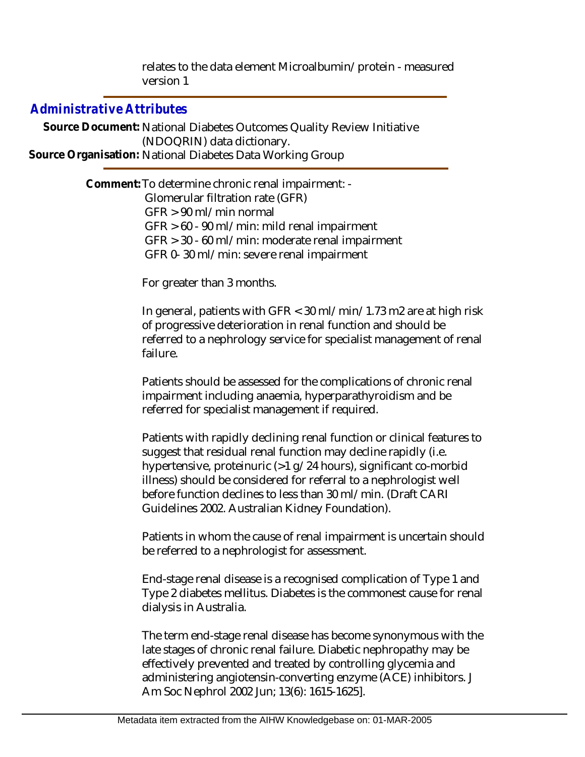relates to the data element Microalbumin/protein - measured version 1

### *Administrative Attributes*

Source Document: National Diabetes Outcomes Quality Review Initiative (NDOQRIN) data dictionary. **Source Organisation:** National Diabetes Data Working Group

> Comment: To determine chronic renal impairment: - Glomerular filtration rate (GFR) GFR > 90 ml/min normal GFR > 60 - 90 ml/min: mild renal impairment GFR > 30 - 60 ml/min: moderate renal impairment GFR 0- 30 ml/min: severe renal impairment

> > For greater than 3 months.

In general, patients with GFR < 30 ml/min/1.73 m2 are at high risk of progressive deterioration in renal function and should be referred to a nephrology service for specialist management of renal failure.

Patients should be assessed for the complications of chronic renal impairment including anaemia, hyperparathyroidism and be referred for specialist management if required.

Patients with rapidly declining renal function or clinical features to suggest that residual renal function may decline rapidly (i.e. hypertensive, proteinuric (>1 g/24 hours), significant co-morbid illness) should be considered for referral to a nephrologist well before function declines to less than 30 ml/min. (Draft CARI Guidelines 2002. Australian Kidney Foundation).

Patients in whom the cause of renal impairment is uncertain should be referred to a nephrologist for assessment.

End-stage renal disease is a recognised complication of Type 1 and Type 2 diabetes mellitus. Diabetes is the commonest cause for renal dialysis in Australia.

The term end-stage renal disease has become synonymous with the late stages of chronic renal failure. Diabetic nephropathy may be effectively prevented and treated by controlling glycemia and administering angiotensin-converting enzyme (ACE) inhibitors. J Am Soc Nephrol 2002 Jun; 13(6): 1615-1625].